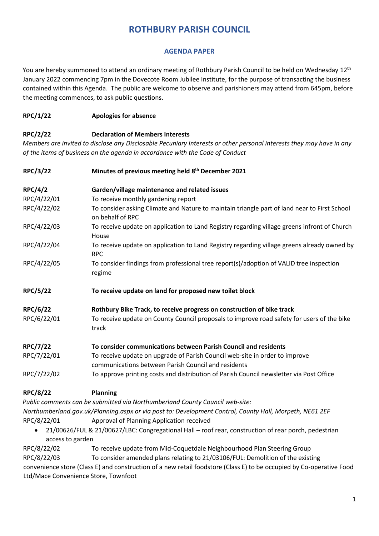## **ROTHBURY PARISH COUNCIL**

## **AGENDA PAPER**

You are hereby summoned to attend an ordinary meeting of Rothbury Parish Council to be held on Wednesday 12<sup>th</sup> January 2022 commencing 7pm in the Dovecote Room Jubilee Institute, for the purpose of transacting the business contained within this Agenda. The public are welcome to observe and parishioners may attend from 645pm, before the meeting commences, to ask public questions.

## **RPC/1/22 Apologies for absence**

## **RPC/2/22 Declaration of Members Interests**

*Members are invited to disclose any Disclosable Pecuniary Interests or other personal interests they may have in any of the items of business on the agenda in accordance with the Code of Conduct* 

| <b>RPC/3/22</b> | Minutes of previous meeting held 8 <sup>th</sup> December 2021                                                                     |  |  |
|-----------------|------------------------------------------------------------------------------------------------------------------------------------|--|--|
| <b>RPC/4/2</b>  | Garden/village maintenance and related issues                                                                                      |  |  |
| RPC/4/22/01     | To receive monthly gardening report                                                                                                |  |  |
| RPC/4/22/02     | To consider asking Climate and Nature to maintain triangle part of land near to First School<br>on behalf of RPC                   |  |  |
| RPC/4/22/03     | To receive update on application to Land Registry regarding village greens infront of Church<br>House                              |  |  |
| RPC/4/22/04     | To receive update on application to Land Registry regarding village greens already owned by<br><b>RPC</b>                          |  |  |
| RPC/4/22/05     | To consider findings from professional tree report(s)/adoption of VALID tree inspection<br>regime                                  |  |  |
| <b>RPC/5/22</b> | To receive update on land for proposed new toilet block                                                                            |  |  |
| <b>RPC/6/22</b> | Rothbury Bike Track, to receive progress on construction of bike track                                                             |  |  |
| RPC/6/22/01     | To receive update on County Council proposals to improve road safety for users of the bike<br>track                                |  |  |
| <b>RPC/7/22</b> | To consider communications between Parish Council and residents                                                                    |  |  |
| RPC/7/22/01     | To receive update on upgrade of Parish Council web-site in order to improve<br>communications between Parish Council and residents |  |  |
| RPC/7/22/02     | To approve printing costs and distribution of Parish Council newsletter via Post Office                                            |  |  |
| <b>RPC/8/22</b> | <b>Planning</b>                                                                                                                    |  |  |
|                 | Public comments can be submitted via Northumberland County Council web-site:                                                       |  |  |
|                 | Northumberland.gov.uk/Planning.aspx or via post to: Development Control, County Hall, Morpeth, NE61 2EF                            |  |  |
| RPC/8/22/01     | Approval of Planning Application received                                                                                          |  |  |

• 21/00626/FUL & 21/00627/LBC: Congregational Hall – roof rear, construction of rear porch, pedestrian access to garden

RPC/8/22/02 To receive update from Mid-Coquetdale Neighbourhood Plan Steering Group RPC/8/22/03 To consider amended plans relating to 21/03106/FUL: Demolition of the existing convenience store (Class E) and construction of a new retail foodstore (Class E) to be occupied by Co-operative Food Ltd/Mace Convenience Store, Townfoot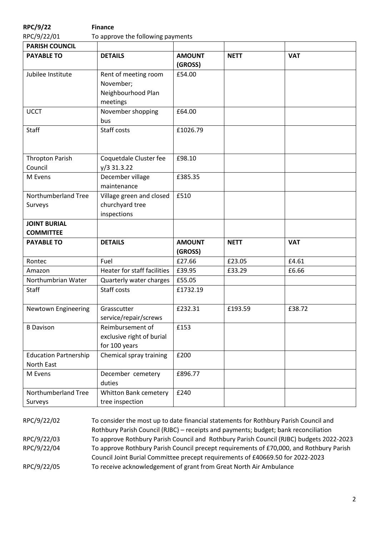| <b>RPC/9/22</b>                            | <b>Finance</b>                                                      |                          |             |            |  |
|--------------------------------------------|---------------------------------------------------------------------|--------------------------|-------------|------------|--|
| RPC/9/22/01                                | To approve the following payments                                   |                          |             |            |  |
| <b>PARISH COUNCIL</b>                      |                                                                     |                          |             |            |  |
| <b>PAYABLE TO</b>                          | <b>DETAILS</b>                                                      | <b>AMOUNT</b><br>(GROSS) | <b>NETT</b> | <b>VAT</b> |  |
| Jubilee Institute                          | Rent of meeting room<br>November;<br>Neighbourhood Plan<br>meetings | £54.00                   |             |            |  |
| <b>UCCT</b>                                | November shopping<br>bus                                            | £64.00                   |             |            |  |
| Staff                                      | Staff costs                                                         | £1026.79                 |             |            |  |
| <b>Thropton Parish</b><br>Council          | Coquetdale Cluster fee<br>$y/3$ 31.3.22                             | £98.10                   |             |            |  |
| M Evens                                    | December village<br>maintenance                                     | £385.35                  |             |            |  |
| Northumberland Tree<br>Surveys             | Village green and closed<br>churchyard tree<br>inspections          | £510                     |             |            |  |
| <b>JOINT BURIAL</b><br><b>COMMITTEE</b>    |                                                                     |                          |             |            |  |
| <b>PAYABLE TO</b>                          | <b>DETAILS</b>                                                      | <b>AMOUNT</b><br>(GROSS) | <b>NETT</b> | <b>VAT</b> |  |
| Rontec                                     | Fuel                                                                | £27.66                   | £23.05      | £4.61      |  |
| Amazon                                     | Heater for staff facilities                                         | £39.95                   | £33.29      | £6.66      |  |
| Northumbrian Water                         | Quarterly water charges                                             | £55.05                   |             |            |  |
| <b>Staff</b>                               | Staff costs                                                         | £1732.19                 |             |            |  |
| Newtown Engineering                        | Grasscutter<br>service/repair/screws                                | £232.31                  | £193.59     | £38.72     |  |
| <b>B</b> Davison                           | Reimbursement of<br>exclusive right of burial<br>for 100 years      | £153                     |             |            |  |
| <b>Education Partnership</b><br>North East | Chemical spray training                                             | £200                     |             |            |  |
| M Evens                                    | December cemetery<br>duties                                         | £896.77                  |             |            |  |
| Northumberland Tree<br>Surveys             | Whitton Bank cemetery<br>tree inspection                            | £240                     |             |            |  |

RPC/9/22/02 To consider the most up to date financial statements for Rothbury Parish Council and Rothbury Parish Council (RJBC) – receipts and payments; budget; bank reconciliation RPC/9/22/03 To approve Rothbury Parish Council and Rothbury Parish Council (RJBC) budgets 2022-2023 RPC/9/22/04 To approve Rothbury Parish Council precept requirements of £70,000, and Rothbury Parish Council Joint Burial Committee precept requirements of £40669.50 for 2022-2023 RPC/9/22/05 To receive acknowledgement of grant from Great North Air Ambulance